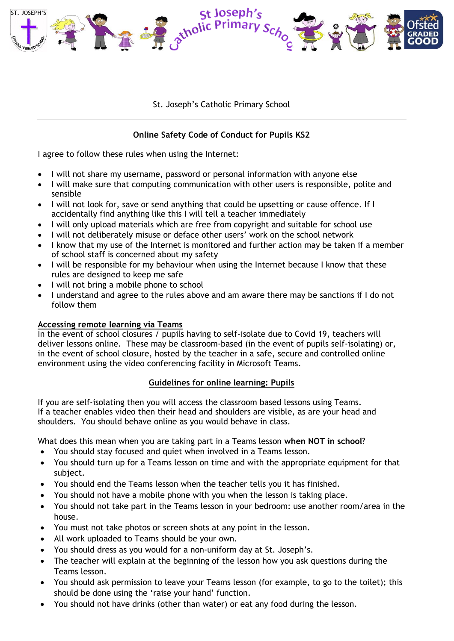

St. Joseph's Catholic Primary School

## **Online Safety Code of Conduct for Pupils KS2**

I agree to follow these rules when using the Internet:

- I will not share my username, password or personal information with anyone else
- I will make sure that computing communication with other users is responsible, polite and sensible
- I will not look for, save or send anything that could be upsetting or cause offence. If I accidentally find anything like this I will tell a teacher immediately
- I will only upload materials which are free from copyright and suitable for school use
- I will not deliberately misuse or deface other users' work on the school network
- I know that my use of the Internet is monitored and further action may be taken if a member of school staff is concerned about my safety
- I will be responsible for my behaviour when using the Internet because I know that these rules are designed to keep me safe
- I will not bring a mobile phone to school
- I understand and agree to the rules above and am aware there may be sanctions if I do not follow them

## **Accessing remote learning via Teams**

In the event of school closures / pupils having to self-isolate due to Covid 19, teachers will deliver lessons online. These may be classroom-based (in the event of pupils self-isolating) or, in the event of school closure, hosted by the teacher in a safe, secure and controlled online environment using the video conferencing facility in Microsoft Teams.

## **Guidelines for online learning: Pupils**

If you are self-isolating then you will access the classroom based lessons using Teams. If a teacher enables video then their head and shoulders are visible, as are your head and shoulders. You should behave online as you would behave in class.

What does this mean when you are taking part in a Teams lesson **when NOT in school**?

- You should stay focused and quiet when involved in a Teams lesson.
- You should turn up for a Teams lesson on time and with the appropriate equipment for that subject.
- You should end the Teams lesson when the teacher tells you it has finished.
- You should not have a mobile phone with you when the lesson is taking place.
- You should not take part in the Teams lesson in your bedroom: use another room/area in the house.
- You must not take photos or screen shots at any point in the lesson.
- All work uploaded to Teams should be your own.
- You should dress as you would for a non-uniform day at St. Joseph's.
- The teacher will explain at the beginning of the lesson how you ask questions during the Teams lesson.
- You should ask permission to leave your Teams lesson (for example, to go to the toilet); this should be done using the 'raise your hand' function.
- You should not have drinks (other than water) or eat any food during the lesson.